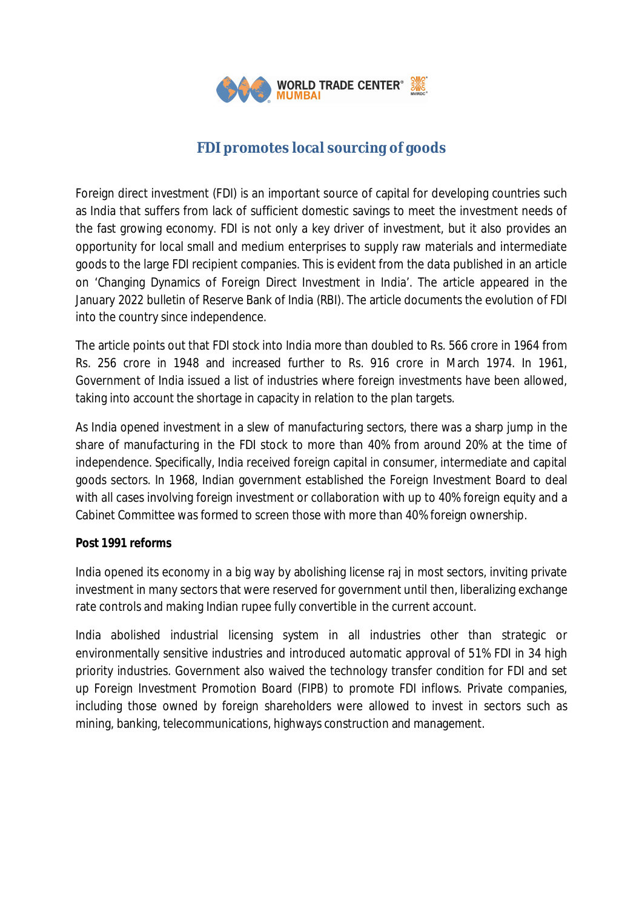

# **FDI promotes local sourcing of goods**

Foreign direct investment (FDI) is an important source of capital for developing countries such as India that suffers from lack of sufficient domestic savings to meet the investment needs of the fast growing economy. FDI is not only a key driver of investment, but it also provides an opportunity for local small and medium enterprises to supply raw materials and intermediate goods to the large FDI recipient companies. This is evident from the data published in an article on 'Changing Dynamics of Foreign Direct Investment in India'. The article appeared in the January 2022 bulletin of Reserve Bank of India (RBI). The article documents the evolution of FDI into the country since independence.

The article points out that FDI stock into India more than doubled to Rs. 566 crore in 1964 from Rs. 256 crore in 1948 and increased further to Rs. 916 crore in March 1974. In 1961, Government of India issued a list of industries where foreign investments have been allowed, taking into account the shortage in capacity in relation to the plan targets.

As India opened investment in a slew of manufacturing sectors, there was a sharp jump in the share of manufacturing in the FDI stock to more than 40% from around 20% at the time of independence. Specifically, India received foreign capital in consumer, intermediate and capital goods sectors. In 1968, Indian government established the Foreign Investment Board to deal with all cases involving foreign investment or collaboration with up to 40% foreign equity and a Cabinet Committee was formed to screen those with more than 40% foreign ownership.

## **Post 1991 reforms**

India opened its economy in a big way by abolishing license raj in most sectors, inviting private investment in many sectors that were reserved for government until then, liberalizing exchange rate controls and making Indian rupee fully convertible in the current account.

India abolished industrial licensing system in all industries other than strategic or environmentally sensitive industries and introduced automatic approval of 51% FDI in 34 high priority industries. Government also waived the technology transfer condition for FDI and set up Foreign Investment Promotion Board (FIPB) to promote FDI inflows. Private companies, including those owned by foreign shareholders were allowed to invest in sectors such as mining, banking, telecommunications, highways construction and management.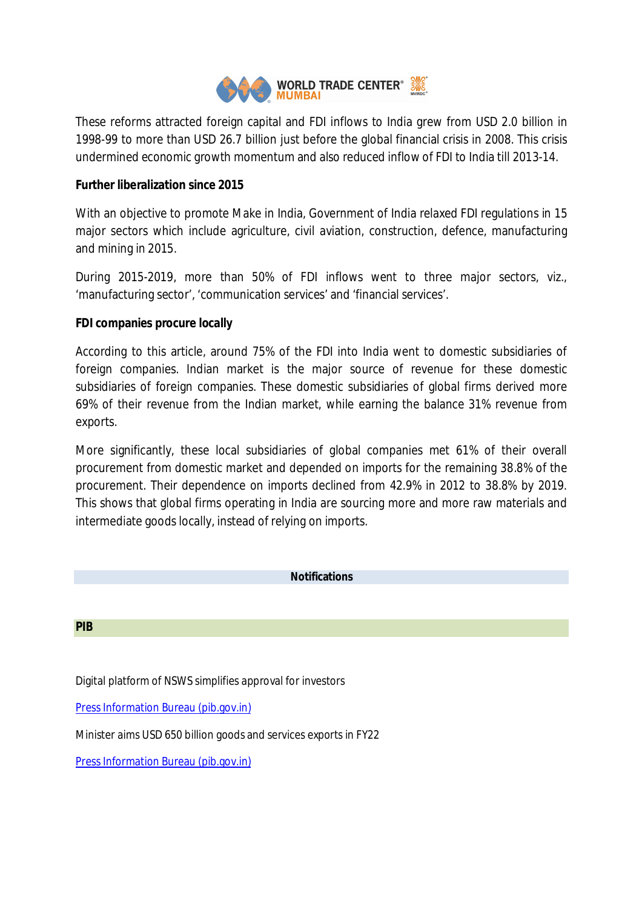

These reforms attracted foreign capital and FDI inflows to India grew from USD 2.0 billion in 1998-99 to more than USD 26.7 billion just before the global financial crisis in 2008. This crisis undermined economic growth momentum and also reduced inflow of FDI to India till 2013-14.

## **Further liberalization since 2015**

With an objective to promote Make in India, Government of India relaxed FDI regulations in 15 major sectors which include agriculture, civil aviation, construction, defence, manufacturing and mining in 2015.

During 2015-2019, more than 50% of FDI inflows went to three major sectors, viz., 'manufacturing sector', 'communication services' and 'financial services'.

### **FDI companies procure locally**

According to this article, around 75% of the FDI into India went to domestic subsidiaries of foreign companies. Indian market is the major source of revenue for these domestic subsidiaries of foreign companies. These domestic subsidiaries of global firms derived more 69% of their revenue from the Indian market, while earning the balance 31% revenue from exports.

More significantly, these local subsidiaries of global companies met 61% of their overall procurement from domestic market and depended on imports for the remaining 38.8% of the procurement. Their dependence on imports declined from 42.9% in 2012 to 38.8% by 2019. This shows that global firms operating in India are sourcing more and more raw materials and intermediate goods locally, instead of relying on imports.

#### **Notifications**

#### **PIB**

Digital platform of NSWS simplifies approval for investors

Press Information Bureau (pib.gov.in)

Minister aims USD 650 billion goods and services exports in FY22

Press Information Bureau (pib.gov.in)